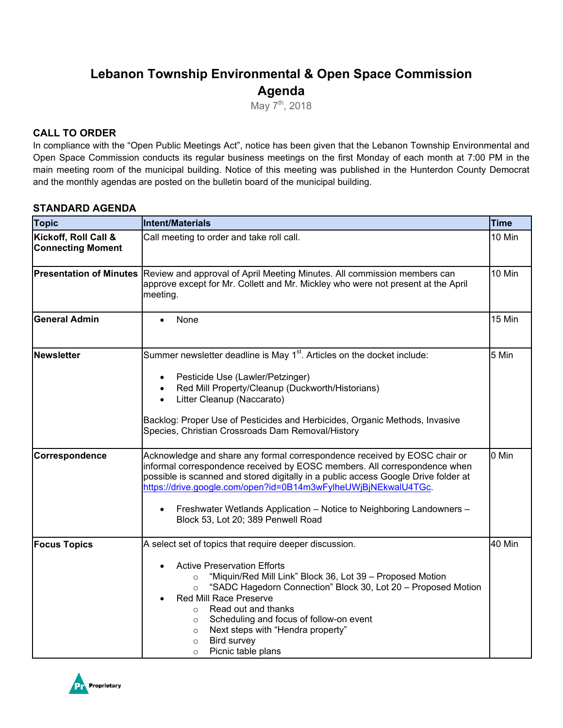# **Lebanon Township Environmental & Open Space Commission Agenda**

May 7<sup>th</sup>, 2018

### **CALL TO ORDER**

In compliance with the "Open Public Meetings Act", notice has been given that the Lebanon Township Environmental and Open Space Commission conducts its regular business meetings on the first Monday of each month at 7:00 PM in the main meeting room of the municipal building. Notice of this meeting was published in the Hunterdon County Democrat and the monthly agendas are posted on the bulletin board of the municipal building.

#### **STANDARD AGENDA**

| <b>Topic</b>                                     | <b>Intent/Materials</b>                                                                                                                                                                                                                                                                                                                                                                                                                                                       | <b>Time</b> |
|--------------------------------------------------|-------------------------------------------------------------------------------------------------------------------------------------------------------------------------------------------------------------------------------------------------------------------------------------------------------------------------------------------------------------------------------------------------------------------------------------------------------------------------------|-------------|
| Kickoff, Roll Call &<br><b>Connecting Moment</b> | Call meeting to order and take roll call.                                                                                                                                                                                                                                                                                                                                                                                                                                     | 10 Min      |
| <b>Presentation of Minutes</b>                   | Review and approval of April Meeting Minutes. All commission members can<br>approve except for Mr. Collett and Mr. Mickley who were not present at the April<br>meeting.                                                                                                                                                                                                                                                                                                      | 10 Min      |
| <b>General Admin</b>                             | None                                                                                                                                                                                                                                                                                                                                                                                                                                                                          | 15 Min      |
| <b>Newsletter</b>                                | Summer newsletter deadline is May 1 <sup>st</sup> . Articles on the docket include:<br>Pesticide Use (Lawler/Petzinger)<br>$\bullet$<br>Red Mill Property/Cleanup (Duckworth/Historians)<br>$\bullet$<br>Litter Cleanup (Naccarato)<br>Backlog: Proper Use of Pesticides and Herbicides, Organic Methods, Invasive<br>Species, Christian Crossroads Dam Removal/History                                                                                                       | 5 Min       |
| Correspondence                                   | Acknowledge and share any formal correspondence received by EOSC chair or<br>informal correspondence received by EOSC members. All correspondence when<br>possible is scanned and stored digitally in a public access Google Drive folder at<br>https://drive.google.com/open?id=0B14m3wFylheUWjBjNEkwalU4TGc.<br>Freshwater Wetlands Application - Notice to Neighboring Landowners -<br>$\bullet$<br>Block 53, Lot 20; 389 Penwell Road                                     | 0 Min       |
| <b>Focus Topics</b>                              | A select set of topics that require deeper discussion.<br><b>Active Preservation Efforts</b><br>"Miquin/Red Mill Link" Block 36, Lot 39 - Proposed Motion<br>$\circ$<br>"SADC Hagedorn Connection" Block 30, Lot 20 - Proposed Motion<br>$\circ$<br>Red Mill Race Preserve<br>Read out and thanks<br>$\circ$<br>Scheduling and focus of follow-on event<br>$\circ$<br>Next steps with "Hendra property"<br>$\circ$<br>Bird survey<br>$\circ$<br>Picnic table plans<br>$\circ$ | 40 Min      |

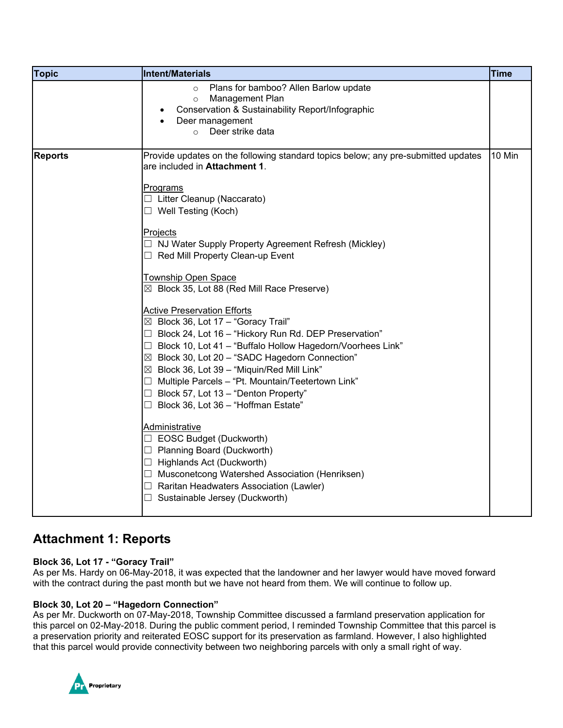| <b>Topic</b>   | Intent/Materials                                                                                                                                                                                                                                                                                                                                                                                                                                                                       | <b>Time</b> |
|----------------|----------------------------------------------------------------------------------------------------------------------------------------------------------------------------------------------------------------------------------------------------------------------------------------------------------------------------------------------------------------------------------------------------------------------------------------------------------------------------------------|-------------|
|                | Plans for bamboo? Allen Barlow update<br>$\circ$<br>Management Plan<br>$\circ$<br>Conservation & Sustainability Report/Infographic<br>Deer management<br>Deer strike data<br>$\circ$                                                                                                                                                                                                                                                                                                   |             |
| <b>Reports</b> | Provide updates on the following standard topics below; any pre-submitted updates<br>are included in Attachment 1.<br>Programs                                                                                                                                                                                                                                                                                                                                                         | 10 Min      |
|                | □ Litter Cleanup (Naccarato)<br>$\Box$ Well Testing (Koch)<br><b>Projects</b><br>$\Box$ NJ Water Supply Property Agreement Refresh (Mickley)<br>$\Box$ Red Mill Property Clean-up Event                                                                                                                                                                                                                                                                                                |             |
|                | <b>Township Open Space</b><br>⊠ Block 35, Lot 88 (Red Mill Race Preserve)                                                                                                                                                                                                                                                                                                                                                                                                              |             |
|                | <b>Active Preservation Efforts</b><br>$\boxtimes$ Block 36, Lot 17 - "Goracy Trail"<br>$\Box$ Block 24, Lot 16 – "Hickory Run Rd. DEP Preservation"<br>$\Box$ Block 10, Lot 41 - "Buffalo Hollow Hagedorn/Voorhees Link"<br>⊠ Block 30, Lot 20 - "SADC Hagedorn Connection"<br>$\boxtimes$ Block 36, Lot 39 - "Miquin/Red Mill Link"<br>$\Box$ Multiple Parcels - "Pt. Mountain/Teetertown Link"<br>$\Box$ Block 57, Lot 13 – "Denton Property"<br>Block 36, Lot 36 - "Hoffman Estate" |             |
|                | Administrative<br>□ EOSC Budget (Duckworth)<br>$\Box$ Planning Board (Duckworth)<br>$\Box$ Highlands Act (Duckworth)<br>□ Musconetcong Watershed Association (Henriksen)<br>$\Box$ Raritan Headwaters Association (Lawler)<br>$\Box$ Sustainable Jersey (Duckworth)                                                                                                                                                                                                                    |             |

## **Attachment 1: Reports**

#### **Block 36, Lot 17 - "Goracy Trail"**

As per Ms. Hardy on 06-May-2018, it was expected that the landowner and her lawyer would have moved forward with the contract during the past month but we have not heard from them. We will continue to follow up.

#### **Block 30, Lot 20 – "Hagedorn Connection"**

As per Mr. Duckworth on 07-May-2018, Township Committee discussed a farmland preservation application for this parcel on 02-May-2018. During the public comment period, I reminded Township Committee that this parcel is a preservation priority and reiterated EOSC support for its preservation as farmland. However, I also highlighted that this parcel would provide connectivity between two neighboring parcels with only a small right of way.

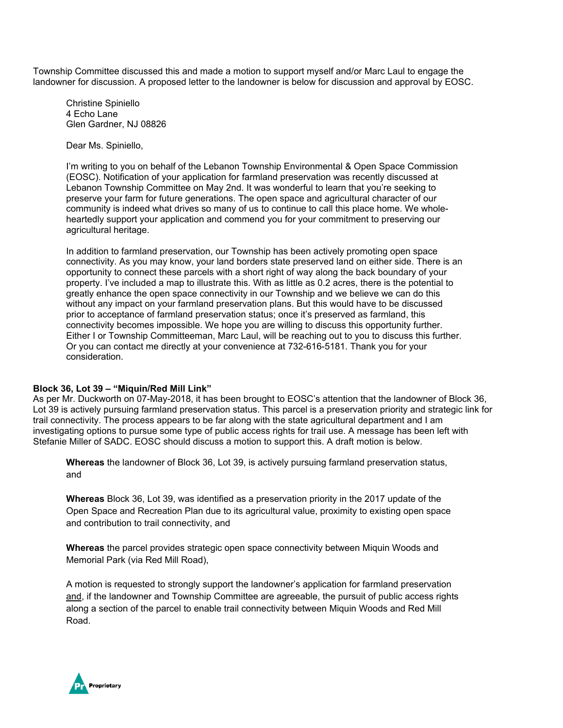Township Committee discussed this and made a motion to support myself and/or Marc Laul to engage the landowner for discussion. A proposed letter to the landowner is below for discussion and approval by EOSC.

Christine Spiniello 4 Echo Lane Glen Gardner, NJ 08826

Dear Ms. Spiniello,

I'm writing to you on behalf of the Lebanon Township Environmental & Open Space Commission (EOSC). Notification of your application for farmland preservation was recently discussed at Lebanon Township Committee on May 2nd. It was wonderful to learn that you're seeking to preserve your farm for future generations. The open space and agricultural character of our community is indeed what drives so many of us to continue to call this place home. We wholeheartedly support your application and commend you for your commitment to preserving our agricultural heritage.

In addition to farmland preservation, our Township has been actively promoting open space connectivity. As you may know, your land borders state preserved land on either side. There is an opportunity to connect these parcels with a short right of way along the back boundary of your property. I've included a map to illustrate this. With as little as 0.2 acres, there is the potential to greatly enhance the open space connectivity in our Township and we believe we can do this without any impact on your farmland preservation plans. But this would have to be discussed prior to acceptance of farmland preservation status; once it's preserved as farmland, this connectivity becomes impossible. We hope you are willing to discuss this opportunity further. Either I or Township Committeeman, Marc Laul, will be reaching out to you to discuss this further. Or you can contact me directly at your convenience at 732-616-5181. Thank you for your consideration.

#### **Block 36, Lot 39 – "Miquin/Red Mill Link"**

As per Mr. Duckworth on 07-May-2018, it has been brought to EOSC's attention that the landowner of Block 36, Lot 39 is actively pursuing farmland preservation status. This parcel is a preservation priority and strategic link for trail connectivity. The process appears to be far along with the state agricultural department and I am investigating options to pursue some type of public access rights for trail use. A message has been left with Stefanie Miller of SADC. EOSC should discuss a motion to support this. A draft motion is below.

**Whereas** the landowner of Block 36, Lot 39, is actively pursuing farmland preservation status, and

**Whereas** Block 36, Lot 39, was identified as a preservation priority in the 2017 update of the Open Space and Recreation Plan due to its agricultural value, proximity to existing open space and contribution to trail connectivity, and

**Whereas** the parcel provides strategic open space connectivity between Miquin Woods and Memorial Park (via Red Mill Road),

A motion is requested to strongly support the landowner's application for farmland preservation and, if the landowner and Township Committee are agreeable, the pursuit of public access rights along a section of the parcel to enable trail connectivity between Miquin Woods and Red Mill Road.

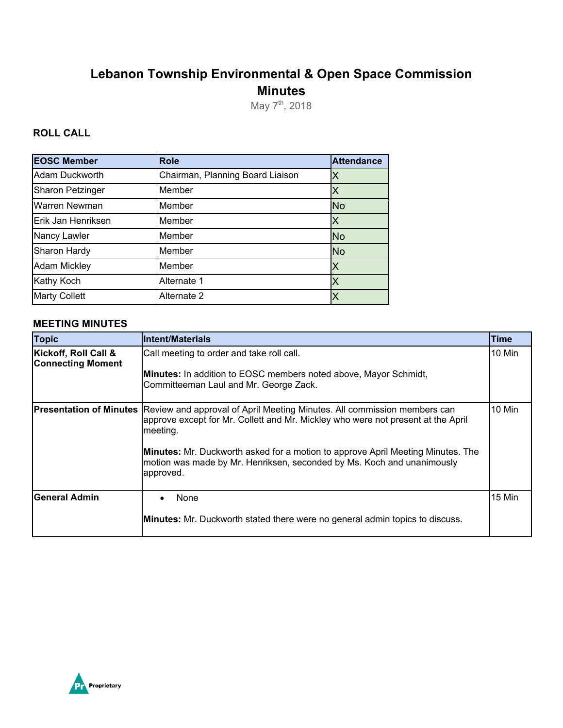# **Lebanon Township Environmental & Open Space Commission Minutes**

May  $7^{th}$ , 2018

### **ROLL CALL**

| <b>EOSC Member</b>      | <b>Role</b>                      | <b>Attendance</b> |
|-------------------------|----------------------------------|-------------------|
| Adam Duckworth          | Chairman, Planning Board Liaison | Χ                 |
| <b>Sharon Petzinger</b> | Member                           | Χ                 |
| Warren Newman           | Member                           | <b>No</b>         |
| Erik Jan Henriksen      | Member                           | X                 |
| Nancy Lawler            | Member                           | <b>No</b>         |
| Sharon Hardy            | Member                           | <b>No</b>         |
| <b>Adam Mickley</b>     | Member                           | X                 |
| <b>Kathy Koch</b>       | Alternate 1                      | Χ                 |
| <b>Marty Collett</b>    | Alternate 2                      |                   |

#### **MEETING MINUTES**

| <b>Topic</b>                                     | <b>Intent/Materials</b>                                                                                                                                                                                                                                                                                                                                   | <b>Time</b> |
|--------------------------------------------------|-----------------------------------------------------------------------------------------------------------------------------------------------------------------------------------------------------------------------------------------------------------------------------------------------------------------------------------------------------------|-------------|
| Kickoff, Roll Call &<br><b>Connecting Moment</b> | Call meeting to order and take roll call.<br><b>Minutes:</b> In addition to EOSC members noted above, Mayor Schmidt,<br>Committeeman Laul and Mr. George Zack.                                                                                                                                                                                            | 10 Min      |
| <b>Presentation of Minutes</b>                   | Review and approval of April Meeting Minutes. All commission members can<br>approve except for Mr. Collett and Mr. Mickley who were not present at the April<br>meeting.<br><b>Minutes:</b> Mr. Duckworth asked for a motion to approve April Meeting Minutes. The<br>motion was made by Mr. Henriksen, seconded by Ms. Koch and unanimously<br>approved. | 10 Min      |
| lGeneral Admin                                   | None<br><b>Minutes:</b> Mr. Duckworth stated there were no general admin topics to discuss.                                                                                                                                                                                                                                                               | 15 Min      |

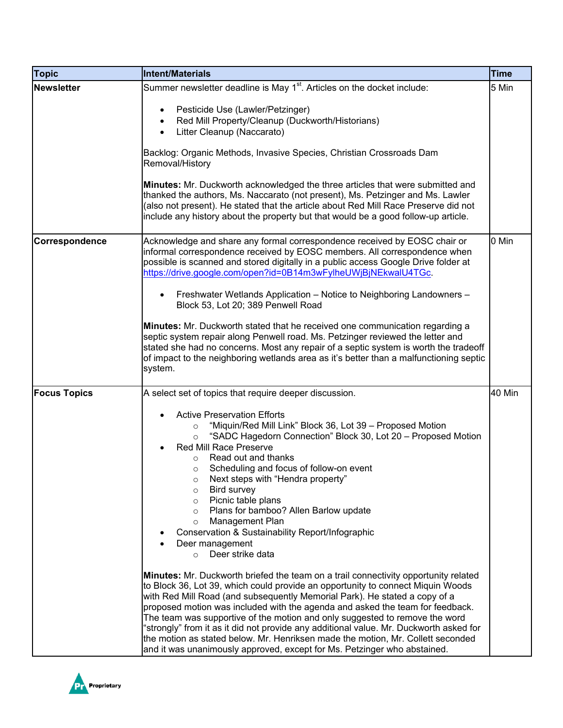| <b>Topic</b>        | <b>Intent/Materials</b>                                                                                                                                                                                                                                                                                                                                                                                                                                                                                                                                                                                                                                                              | <b>Time</b> |
|---------------------|--------------------------------------------------------------------------------------------------------------------------------------------------------------------------------------------------------------------------------------------------------------------------------------------------------------------------------------------------------------------------------------------------------------------------------------------------------------------------------------------------------------------------------------------------------------------------------------------------------------------------------------------------------------------------------------|-------------|
| <b>Newsletter</b>   | Summer newsletter deadline is May 1 <sup>st</sup> . Articles on the docket include:                                                                                                                                                                                                                                                                                                                                                                                                                                                                                                                                                                                                  | 5 Min       |
|                     | Pesticide Use (Lawler/Petzinger)<br>Red Mill Property/Cleanup (Duckworth/Historians)<br>$\bullet$<br>Litter Cleanup (Naccarato)<br>$\bullet$                                                                                                                                                                                                                                                                                                                                                                                                                                                                                                                                         |             |
|                     | Backlog: Organic Methods, Invasive Species, Christian Crossroads Dam<br>Removal/History                                                                                                                                                                                                                                                                                                                                                                                                                                                                                                                                                                                              |             |
|                     | Minutes: Mr. Duckworth acknowledged the three articles that were submitted and<br>thanked the authors, Ms. Naccarato (not present), Ms. Petzinger and Ms. Lawler<br>(also not present). He stated that the article about Red Mill Race Preserve did not<br>include any history about the property but that would be a good follow-up article.                                                                                                                                                                                                                                                                                                                                        |             |
| Correspondence      | Acknowledge and share any formal correspondence received by EOSC chair or<br>informal correspondence received by EOSC members. All correspondence when<br>possible is scanned and stored digitally in a public access Google Drive folder at<br>https://drive.google.com/open?id=0B14m3wFylheUWjBjNEkwalU4TGc.                                                                                                                                                                                                                                                                                                                                                                       | 0 Min       |
|                     | Freshwater Wetlands Application - Notice to Neighboring Landowners -<br>$\bullet$<br>Block 53, Lot 20; 389 Penwell Road                                                                                                                                                                                                                                                                                                                                                                                                                                                                                                                                                              |             |
|                     | Minutes: Mr. Duckworth stated that he received one communication regarding a<br>septic system repair along Penwell road. Ms. Petzinger reviewed the letter and<br>stated she had no concerns. Most any repair of a septic system is worth the tradeoff<br>of impact to the neighboring wetlands area as it's better than a malfunctioning septic<br>system.                                                                                                                                                                                                                                                                                                                          |             |
| <b>Focus Topics</b> | A select set of topics that require deeper discussion.                                                                                                                                                                                                                                                                                                                                                                                                                                                                                                                                                                                                                               | 40 Min      |
|                     | <b>Active Preservation Efforts</b><br>$\bullet$<br>"Miquin/Red Mill Link" Block 36, Lot 39 - Proposed Motion<br>$\circ$<br>"SADC Hagedorn Connection" Block 30, Lot 20 - Proposed Motion<br>$\circ$<br>Red Mill Race Preserve<br>Read out and thanks<br>$\circ$<br>Scheduling and focus of follow-on event<br>O<br>Next steps with "Hendra property"<br>Bird survey<br>$\circ$<br>Picnic table plans<br>O<br>Plans for bamboo? Allen Barlow update<br>$\circ$<br>Management Plan<br>$\circ$<br>Conservation & Sustainability Report/Infographic<br>Deer management<br>Deer strike data<br>$\circ$                                                                                    |             |
|                     | <b>Minutes:</b> Mr. Duckworth briefed the team on a trail connectivity opportunity related<br>to Block 36, Lot 39, which could provide an opportunity to connect Miquin Woods<br>with Red Mill Road (and subsequently Memorial Park). He stated a copy of a<br>proposed motion was included with the agenda and asked the team for feedback.<br>The team was supportive of the motion and only suggested to remove the word<br>"strongly" from it as it did not provide any additional value. Mr. Duckworth asked for<br>the motion as stated below. Mr. Henriksen made the motion, Mr. Collett seconded<br>and it was unanimously approved, except for Ms. Petzinger who abstained. |             |

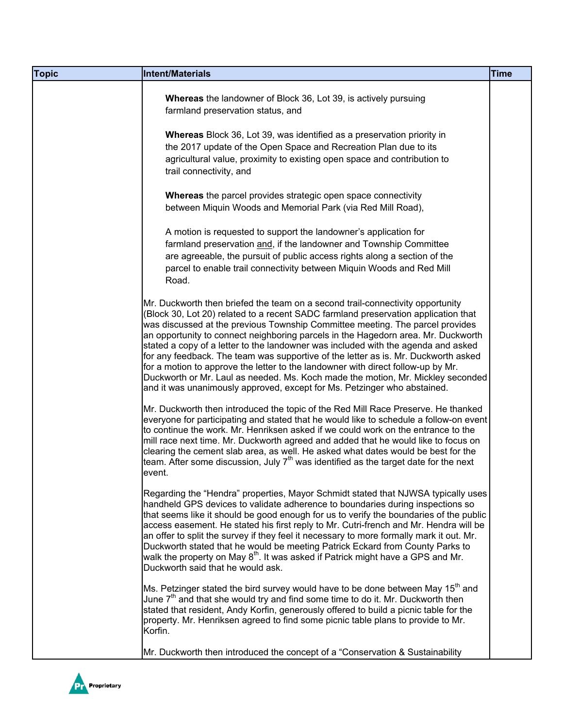| <b>Topic</b> | Intent/Materials                                                                                                                                                                                                                                                                                                                                                                                                                                                                                                                                                                                                                                                                                                                                                         | <b>Time</b> |
|--------------|--------------------------------------------------------------------------------------------------------------------------------------------------------------------------------------------------------------------------------------------------------------------------------------------------------------------------------------------------------------------------------------------------------------------------------------------------------------------------------------------------------------------------------------------------------------------------------------------------------------------------------------------------------------------------------------------------------------------------------------------------------------------------|-------------|
|              | Whereas the landowner of Block 36, Lot 39, is actively pursuing<br>farmland preservation status, and                                                                                                                                                                                                                                                                                                                                                                                                                                                                                                                                                                                                                                                                     |             |
|              | Whereas Block 36, Lot 39, was identified as a preservation priority in<br>the 2017 update of the Open Space and Recreation Plan due to its<br>agricultural value, proximity to existing open space and contribution to<br>trail connectivity, and                                                                                                                                                                                                                                                                                                                                                                                                                                                                                                                        |             |
|              | <b>Whereas</b> the parcel provides strategic open space connectivity<br>between Miquin Woods and Memorial Park (via Red Mill Road),                                                                                                                                                                                                                                                                                                                                                                                                                                                                                                                                                                                                                                      |             |
|              | A motion is requested to support the landowner's application for<br>farmland preservation and, if the landowner and Township Committee<br>are agreeable, the pursuit of public access rights along a section of the<br>parcel to enable trail connectivity between Miquin Woods and Red Mill<br>Road.                                                                                                                                                                                                                                                                                                                                                                                                                                                                    |             |
|              | Mr. Duckworth then briefed the team on a second trail-connectivity opportunity<br>(Block 30, Lot 20) related to a recent SADC farmland preservation application that<br>was discussed at the previous Township Committee meeting. The parcel provides<br>an opportunity to connect neighboring parcels in the Hagedorn area. Mr. Duckworth<br>stated a copy of a letter to the landowner was included with the agenda and asked<br>for any feedback. The team was supportive of the letter as is. Mr. Duckworth asked<br>for a motion to approve the letter to the landowner with direct follow-up by Mr.<br>Duckworth or Mr. Laul as needed. Ms. Koch made the motion, Mr. Mickley seconded<br>and it was unanimously approved, except for Ms. Petzinger who abstained. |             |
|              | Mr. Duckworth then introduced the topic of the Red Mill Race Preserve. He thanked<br>everyone for participating and stated that he would like to schedule a follow-on event<br>to continue the work. Mr. Henriksen asked if we could work on the entrance to the<br>mill race next time. Mr. Duckworth agreed and added that he would like to focus on<br>clearing the cement slab area, as well. He asked what dates would be best for the<br>team. After some discussion, July $7th$ was identified as the target date for the next<br>event.                                                                                                                                                                                                                          |             |
|              | Regarding the "Hendra" properties, Mayor Schmidt stated that NJWSA typically uses<br>handheld GPS devices to validate adherence to boundaries during inspections so<br>that seems like it should be good enough for us to verify the boundaries of the public<br>access easement. He stated his first reply to Mr. Cutri-french and Mr. Hendra will be<br>an offer to split the survey if they feel it necessary to more formally mark it out. Mr.<br>Duckworth stated that he would be meeting Patrick Eckard from County Parks to<br>walk the property on May 8 <sup>th</sup> . It was asked if Patrick might have a GPS and Mr.<br>Duckworth said that he would ask.                                                                                                  |             |
|              | Ms. Petzinger stated the bird survey would have to be done between May 15 <sup>th</sup> and<br>June 7 <sup>th</sup> and that she would try and find some time to do it. Mr. Duckworth then<br>stated that resident, Andy Korfin, generously offered to build a picnic table for the<br>property. Mr. Henriksen agreed to find some picnic table plans to provide to Mr.<br>Korfin.                                                                                                                                                                                                                                                                                                                                                                                       |             |
|              | Mr. Duckworth then introduced the concept of a "Conservation & Sustainability                                                                                                                                                                                                                                                                                                                                                                                                                                                                                                                                                                                                                                                                                            |             |

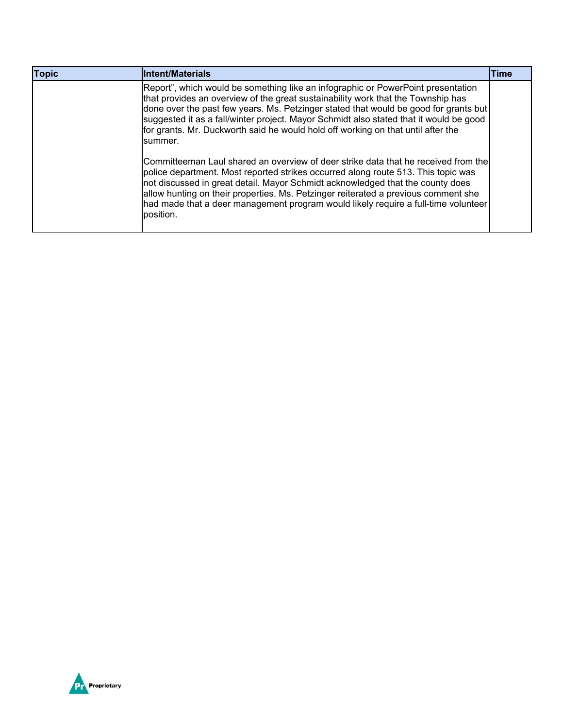| <b>Topic</b> | <b>Intent/Materials</b>                                                                                                                                                                                                                                                                                                                                                                                                                               | <b>Time</b> |
|--------------|-------------------------------------------------------------------------------------------------------------------------------------------------------------------------------------------------------------------------------------------------------------------------------------------------------------------------------------------------------------------------------------------------------------------------------------------------------|-------------|
|              | Report", which would be something like an infographic or PowerPoint presentation<br>that provides an overview of the great sustainability work that the Township has<br>done over the past few years. Ms. Petzinger stated that would be good for grants but<br>suggested it as a fall/winter project. Mayor Schmidt also stated that it would be good<br>for grants. Mr. Duckworth said he would hold off working on that until after the<br>summer. |             |
|              | Committeeman Laul shared an overview of deer strike data that he received from the<br>police department. Most reported strikes occurred along route 513. This topic was<br>not discussed in great detail. Mayor Schmidt acknowledged that the county does<br>allow hunting on their properties. Ms. Petzinger reiterated a previous comment she<br>had made that a deer management program would likely require a full-time volunteer<br>position.    |             |